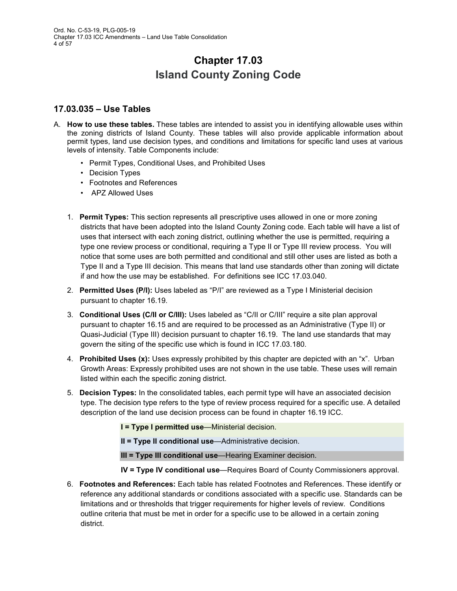# **Chapter 17.03 Island County Zoning Code**

## **17.03.035 – Use Tables**

- A. **How to use these tables.** These tables are intended to assist you in identifying allowable uses within the zoning districts of Island County. These tables will also provide applicable information about permit types, land use decision types, and conditions and limitations for specific land uses at various levels of intensity. Table Components include:
	- Permit Types, Conditional Uses, and Prohibited Uses
	- Decision Types
	- Footnotes and References
	- APZ Allowed Uses
	- 1. **Permit Types:** This section represents all prescriptive uses allowed in one or more zoning districts that have been adopted into the Island County Zoning code. Each table will have a list of uses that intersect with each zoning district, outlining whether the use is permitted, requiring a type one review process or conditional, requiring a Type II or Type III review process. You will notice that some uses are both permitted and conditional and still other uses are listed as both a Type II and a Type III decision. This means that land use standards other than zoning will dictate if and how the use may be established. For definitions see ICC 17.03.040.
	- 2. **Permitted Uses (P/I):** Uses labeled as "P/I" are reviewed as a Type I Ministerial decision pursuant to chapter 16.19.
	- 3. **Conditional Uses (C/II or C/III):** Uses labeled as "C/II or C/III" require a site plan approval pursuant to chapter 16.15 and are required to be processed as an Administrative (Type II) or Quasi-Judicial (Type III) decision pursuant to chapter 16.19. The land use standards that may govern the siting of the specific use which is found in ICC 17.03.180.
	- 4. **Prohibited Uses (x):** Uses expressly prohibited by this chapter are depicted with an "x". Urban Growth Areas: Expressly prohibited uses are not shown in the use table. These uses will remain listed within each the specific zoning district.
	- 5. **Decision Types:** In the consolidated tables, each permit type will have an associated decision type. The decision type refers to the type of review process required for a specific use. A detailed description of the land use decision process can be found in [chapter 16.19](https://library.municode.com/wa/island_county/codes/code_of_ordinances?nodeId=TITXVIPLSU_CH16.19LAUSREPR) ICC.
		- **I = Type I permitted use**—Ministerial decision.
		- **II = Type II conditional use**—Administrative decision.
		- **III = Type III conditional use**—Hearing Examiner decision.
		- **IV = Type IV conditional use**—Requires Board of County Commissioners approval.
	- 6. **Footnotes and References:** Each table has related Footnotes and References. These identify or reference any additional standards or conditions associated with a specific use. Standards can be limitations and or thresholds that trigger requirements for higher levels of review. Conditions outline criteria that must be met in order for a specific use to be allowed in a certain zoning district.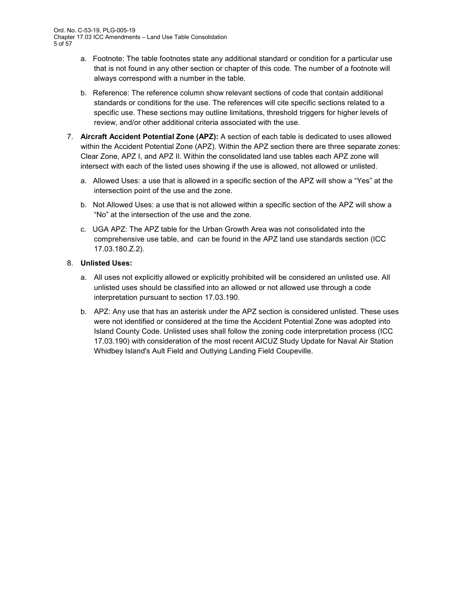- a. Footnote: The table footnotes state any additional standard or condition for a particular use that is not found in any other section or chapter of this code. The number of a footnote will always correspond with a number in the table.
- b. Reference: The reference column show relevant sections of code that contain additional standards or conditions for the use. The references will cite specific sections related to a specific use. These sections may outline limitations, threshold triggers for higher levels of review, and/or other additional criteria associated with the use.
- 7. **Aircraft Accident Potential Zone (APZ):** A section of each table is dedicated to uses allowed within the Accident Potential Zone (APZ). Within the APZ section there are three separate zones: Clear Zone, APZ I, and APZ II. Within the consolidated land use tables each APZ zone will intersect with each of the listed uses showing if the use is allowed, not allowed or unlisted.
	- a. Allowed Uses: a use that is allowed in a specific section of the APZ will show a "Yes" at the intersection point of the use and the zone.
	- b. Not Allowed Uses: a use that is not allowed within a specific section of the APZ will show a "No" at the intersection of the use and the zone.
	- c. UGA APZ: The APZ table for the Urban Growth Area was not consolidated into the comprehensive use table, and can be found in the APZ land use standards section (ICC 17.03.180.Z.2).

## 8. **Unlisted Uses:**

- a. All uses not explicitly allowed or explicitly prohibited will be considered an unlisted use. All unlisted uses should be classified into an allowed or not allowed use through a code interpretation pursuant to section 17.03.190.
- b. APZ: Any use that has an asterisk under the APZ section is considered unlisted. These uses were not identified or considered at the time the Accident Potential Zone was adopted into Island County Code. Unlisted uses shall follow the zoning code interpretation process (ICC 17.03.190) with consideration of the most recent AICUZ Study Update for Naval Air Station Whidbey Island's Ault Field and Outlying Landing Field Coupeville.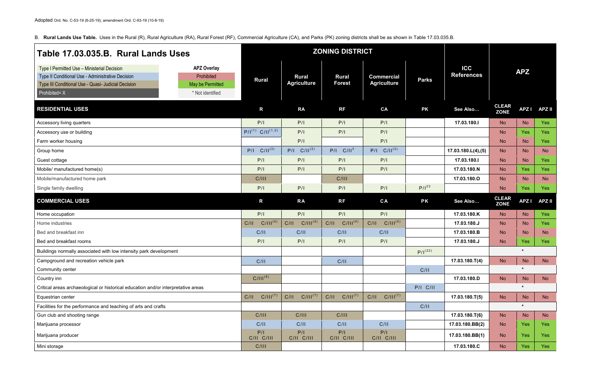B. **Rural Lands Use Table.** Uses in the Rural (R), Rural Agriculture (RA), Rural Forest (RF), Commercial Agriculture (CA), and Parks (PK) zoning districts shall be as shown in Table 17.03.035.B.

| Table 17.03.035.B. Rural Lands Uses                                                                                                                                                  |                                                                          | <b>ZONING DISTRICT</b>            |                                    |                               |                                         |              |                                 |                             |             |               |
|--------------------------------------------------------------------------------------------------------------------------------------------------------------------------------------|--------------------------------------------------------------------------|-----------------------------------|------------------------------------|-------------------------------|-----------------------------------------|--------------|---------------------------------|-----------------------------|-------------|---------------|
| Type I Permitted Use - Ministerial Decision<br>Type II Conditional Use - Administrative Decision<br>Type III Conditional Use - Quasi- Judicial Decision<br>Prohibited= $X^{\dagger}$ | <b>APZ Overlay</b><br>Prohibited<br>May be Permitted<br>* Not identified | <b>Rural</b>                      | <b>Rural</b><br><b>Agriculture</b> | <b>Rural</b><br><b>Forest</b> | <b>Commercial</b><br><b>Agriculture</b> | <b>Parks</b> | <b>ICC</b><br><b>References</b> |                             | <b>APZ</b>  |               |
| <b>RESIDENTIAL USES</b>                                                                                                                                                              |                                                                          | R                                 | <b>RA</b>                          | <b>RF</b>                     | CA                                      | <b>PK</b>    | See Also                        | <b>CLEAR</b><br><b>ZONE</b> | <b>APZI</b> | <b>APZ II</b> |
| Accessory living quarters                                                                                                                                                            |                                                                          | P/I                               | P/I                                | P/I                           | P/I                                     |              | 17.03.180.I                     | <b>No</b>                   | <b>No</b>   | Yes           |
| Accessory use or building                                                                                                                                                            |                                                                          | $P/I^{(1)}$ C/II <sup>(1,2)</sup> | P/I                                | P/I                           | P/I                                     |              |                                 | <b>No</b>                   | Yes         | <b>Yes</b>    |
| Farm worker housing                                                                                                                                                                  |                                                                          |                                   | P/I                                |                               | P/I                                     |              |                                 | <b>No</b>                   | <b>No</b>   | <b>Yes</b>    |
| Group home                                                                                                                                                                           |                                                                          | $P/I$ $C/II^{(3)}$                | $P/I$ $C/II^{(3)}$                 | $P/I$ $C/II3$                 | $P/I$ $C/II^{(3)}$                      |              | 17.03.180.L(4),(5)              | <b>No</b>                   | <b>No</b>   | <b>No</b>     |
| Guest cottage                                                                                                                                                                        |                                                                          | P/I                               | P/I                                | P/I                           | P/I                                     |              | 17.03.180.I                     | <b>No</b>                   | <b>No</b>   | <b>Yes</b>    |
| Mobile/ manufactured home(s)                                                                                                                                                         |                                                                          | P/I                               | P/I                                | P/I                           | P/I                                     |              | 17.03.180.N                     | <b>No</b>                   | Yes         | <b>Yes</b>    |
| Mobile/manufactured home park                                                                                                                                                        |                                                                          | C/III                             |                                    | C/III                         |                                         |              | 17.03.180.0                     | <b>No</b>                   | <b>No</b>   | <b>No</b>     |
| Single family dwelling                                                                                                                                                               |                                                                          | P/I                               | P/I                                | P/I                           | P/I                                     | $P/I^{23}$   |                                 | <b>No</b>                   | Yes         | Yes           |
| <b>COMMERCIAL USES</b>                                                                                                                                                               |                                                                          | R                                 | <b>RA</b>                          | RF                            | CA                                      | <b>PK</b>    | See Also                        | <b>CLEAR</b><br><b>ZONE</b> | <b>APZI</b> | <b>APZ II</b> |
| Home occupation                                                                                                                                                                      |                                                                          | P/I                               | P/I                                | P/I                           | P/I                                     |              | 17.03.180.K                     | <b>No</b>                   | <b>No</b>   | Yes           |
| Home industries                                                                                                                                                                      |                                                                          | $C/III^{(4)}$<br>C/II             | $C/III^{(4)}$<br>C/II              | C/III <sup>(4)</sup><br>C/II  | $C/III^{(4)}$<br>C/II                   |              | 17.03.180.J                     | <b>No</b>                   | <b>No</b>   | Yes           |
| Bed and breakfast inn                                                                                                                                                                |                                                                          | C/II                              | C/II                               | C/II                          | C/II                                    |              | 17.03.180.B                     | <b>No</b>                   | <b>No</b>   | <b>No</b>     |
| Bed and breakfast rooms                                                                                                                                                              |                                                                          | P/I                               | P/I                                | P/I                           | P/I                                     |              | 17.03.180.J                     | <b>No</b>                   | Yes         | Yes           |
| Buildings normally associated with low intensity park development                                                                                                                    |                                                                          |                                   |                                    |                               |                                         | $P/I^{(22)}$ |                                 |                             | $\star$     |               |
| Campground and recreation vehicle park                                                                                                                                               |                                                                          | C/II                              |                                    | C/II                          |                                         |              | $17.03.180 \cdot T(4)$          | No                          | <b>No</b>   | <b>No</b>     |
| Community center                                                                                                                                                                     |                                                                          |                                   |                                    |                               |                                         | C/II         |                                 |                             | $\star$     |               |
| Country inn                                                                                                                                                                          |                                                                          | $C/III^{(6)}$                     |                                    |                               |                                         |              | 17.03.180.D                     | <b>No</b>                   | <b>No</b>   | <b>No</b>     |
| Critical areas archaeological or historical education and/or interpretative areas                                                                                                    |                                                                          |                                   |                                    |                               |                                         | $P/I$ $C/II$ |                                 |                             | $\star$     |               |
| Equestrian center                                                                                                                                                                    |                                                                          | $C/III^{(7)}$<br>C/II             | $C/III^{(7)}$<br>C/II              | $C/III^{(7)}$<br>C/II         | $C/III^{(7)}$<br>C/II                   |              | $17.03.180 \cdot T(5)$          | <b>No</b>                   | <b>No</b>   | <b>No</b>     |
| Facilities for the performance and teaching of arts and crafts                                                                                                                       |                                                                          |                                   |                                    |                               |                                         | C/II         |                                 |                             | $\star$     |               |
| Gun club and shooting range                                                                                                                                                          |                                                                          | C/III                             | C/III                              | C/III                         |                                         |              | $17.03.180 \cdot T(6)$          | <b>No</b>                   | <b>No</b>   | <b>No</b>     |
| Marijuana processor                                                                                                                                                                  |                                                                          | C/II                              | C/II                               | C/II                          | C/II                                    |              | 17.03.180.BB(2)                 | <b>No</b>                   | Yes         | <b>Yes</b>    |
| Marijuana producer                                                                                                                                                                   |                                                                          | P/I<br>C/II C/III                 | P/I<br>C/II C/III                  | P/I<br>C/II C/III             | P/I<br>C/II C/III                       |              | 17.03.180.BB(1)                 | <b>No</b>                   | Yes         | Yes           |
| Mini storage                                                                                                                                                                         |                                                                          | C/III                             |                                    |                               |                                         |              | 17.03.180.C                     | <b>No</b>                   | Yes         | Yes           |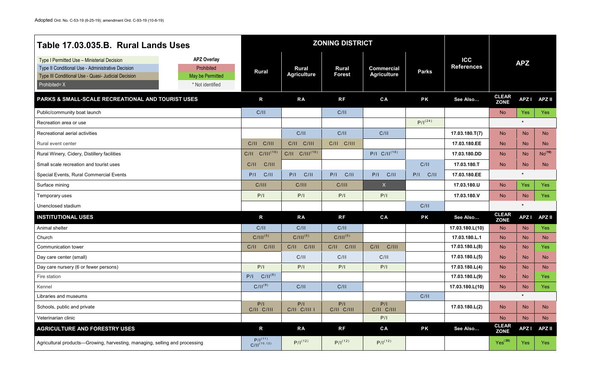| Table 17.03.035.B. Rural Lands Uses                                                                                                                                                                                                                  |                                         | <b>ZONING DISTRICT</b>             |                               |                                         |              |                                 |                             |             |                    |
|------------------------------------------------------------------------------------------------------------------------------------------------------------------------------------------------------------------------------------------------------|-----------------------------------------|------------------------------------|-------------------------------|-----------------------------------------|--------------|---------------------------------|-----------------------------|-------------|--------------------|
| <b>APZ Overlay</b><br>Type I Permitted Use - Ministerial Decision<br>Type II Conditional Use - Administrative Decision<br>Prohibited<br>Type III Conditional Use - Quasi- Judicial Decision<br>May be Permitted<br>Prohibited= X<br>* Not identified | <b>Rural</b>                            | <b>Rural</b><br><b>Agriculture</b> | <b>Rural</b><br><b>Forest</b> | <b>Commercial</b><br><b>Agriculture</b> | <b>Parks</b> | <b>ICC</b><br><b>References</b> |                             | <b>APZ</b>  |                    |
| <b>PARKS &amp; SMALL-SCALE RECREATIONAL AND TOURIST USES</b>                                                                                                                                                                                         | R                                       | <b>RA</b>                          | <b>RF</b>                     | CA                                      | <b>PK</b>    | See Also                        | <b>CLEAR</b><br><b>ZONE</b> | <b>APZI</b> | <b>APZ II</b>      |
| Public/community boat launch                                                                                                                                                                                                                         | C/II                                    |                                    | C/II                          |                                         |              |                                 | <b>No</b>                   | <b>Yes</b>  | Yes:               |
| Recreation area or use                                                                                                                                                                                                                               |                                         |                                    |                               |                                         | $P/I^{(24)}$ |                                 |                             | $\star$     |                    |
| Recreational aerial activities                                                                                                                                                                                                                       |                                         | C/II                               | C/II                          | C/II                                    |              | $17.03.180 \cdot T(7)$          | <b>No</b>                   | <b>No</b>   | <b>No</b>          |
| Rural event center                                                                                                                                                                                                                                   | C/III<br>C/II                           | C/III<br>C/II                      | C/III<br>C/II                 |                                         |              | 17.03.180.EE                    | <b>No</b>                   | <b>No</b>   | <b>No</b>          |
| Rural Winery, Cidery, Distillery facilities                                                                                                                                                                                                          | $C/III^{(16)}$<br>C/II                  | $C/II$ $C/III^{(16)}$              |                               | $P/I$ $C/II^{(16)}$                     |              | 17.03.180.DD                    | <b>No</b>                   | <b>No</b>   | No <sup>(19)</sup> |
| Small scale recreation and tourist uses                                                                                                                                                                                                              | C/II<br>C/III                           |                                    |                               |                                         | C/II         | 17.03.180.T                     | <b>No</b>                   | <b>No</b>   | <b>No</b>          |
| Special Events, Rural Commercial Events                                                                                                                                                                                                              | C/II<br>P/I                             | C/II<br>P/I                        | C/II<br>P/I                   | C/II<br>P/I                             | P/I<br>C/II  | 17.03.180.EE                    |                             | $\star$     |                    |
| Surface mining                                                                                                                                                                                                                                       | C/III                                   | C/III                              | C/III                         | X                                       |              | 17.03.180.U                     | <b>No</b>                   | <b>Yes</b>  | Yes:               |
| Temporary uses                                                                                                                                                                                                                                       | P/I                                     | P/I                                | P/I                           | P/I                                     |              | 17.03.180.V                     | <b>No</b>                   | <b>No</b>   | Yes                |
| Unenclosed stadium                                                                                                                                                                                                                                   |                                         |                                    |                               |                                         | C/II         |                                 |                             | $\star$     |                    |
| <b>INSTITUTIONAL USES</b>                                                                                                                                                                                                                            | $\mathsf{R}$                            | <b>RA</b>                          | <b>RF</b>                     | CA                                      | <b>PK</b>    | See Also                        | <b>CLEAR</b><br><b>ZONE</b> | <b>APZI</b> | <b>APZ II</b>      |
| Animal shelter                                                                                                                                                                                                                                       | C/II                                    | C/II                               | C/II                          |                                         |              | 17.03.180.L(10)                 | <b>No</b>                   | <b>No</b>   | Yes                |
| Church                                                                                                                                                                                                                                               | $C/III^{(5)}$                           | $C/III^{(5)}$                      | $C/III^{(5)}$                 |                                         |              | 17.03.180.L.1                   | <b>No</b>                   | <b>No</b>   | <b>No</b>          |
| <b>Communication tower</b>                                                                                                                                                                                                                           | C/II<br>C/III                           | C/II<br>C/III                      | C/II<br>C/III                 | C/II<br>C/III                           |              | 17.03.180.L(8)                  | <b>No</b>                   | <b>No</b>   | Yes                |
| Day care center (small)                                                                                                                                                                                                                              |                                         | C/II                               | C/II                          | C/II                                    |              | 17.03.180.L(5)                  | <b>No</b>                   | <b>No</b>   | <b>No</b>          |
| Day care nursery (6 or fewer persons)                                                                                                                                                                                                                | P/I                                     | P/I                                | P/I                           | P/I                                     |              | 17.03.180.L(4)                  | <b>No</b>                   | <b>No</b>   | <b>No</b>          |
| Fire station                                                                                                                                                                                                                                         | $C/II^{(8)}$<br>P/I                     |                                    |                               |                                         |              | 17.03.180.L(9)                  | <b>No</b>                   | <b>No</b>   | Yes                |
| Kennel                                                                                                                                                                                                                                               | $C/II^{(9)}$                            | C/II                               | C/II                          |                                         |              | 17.03.180.L(10)                 | <b>No</b>                   | <b>No</b>   | Yes                |
| Libraries and museums                                                                                                                                                                                                                                |                                         |                                    |                               |                                         | C/II         |                                 |                             | $\star$     |                    |
| Schools, public and private                                                                                                                                                                                                                          | P/I<br>C/II C/III                       | P/I<br>C/II C/III I                | P/I<br>C/II C/III             | P/I<br>C/II C/III                       |              | 17.03.180.L(2)                  | <b>No</b>                   | <b>No</b>   | <b>No</b>          |
| Veterinarian clinic                                                                                                                                                                                                                                  |                                         |                                    |                               | P/I                                     |              |                                 | <b>No</b>                   | <b>No</b>   | <b>No</b>          |
| <b>AGRICULTURE AND FORESTRY USES</b>                                                                                                                                                                                                                 | $\mathsf{R}$                            | <b>RA</b>                          | <b>RF</b>                     | CA                                      | <b>PK</b>    | See Also                        | <b>CLEAR</b><br><b>ZONE</b> | <b>APZI</b> | <b>APZ II</b>      |
| Agricultural products-Growing, harvesting, managing, selling and processing                                                                                                                                                                          | $P/I^{(11)}$<br>C/II <sup>(10,12)</sup> | $P/I^{(12)}$                       | $P/I^{(12)}$                  | $P/I^{(12)}$                            |              |                                 | Yes <sup>(20)</sup>         | Yes         | Yes                |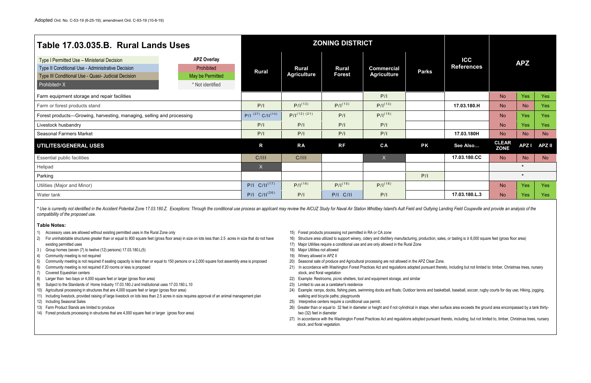| Table 17.03.035.B. Rural Lands Uses                                                                                                                                                                                                                                                                                                                                                                                                                                                                                                                                                                                                                                                                                                                                                                                                                                                                                           |                                                                          |                                   |                                                                 | <b>ZONING DISTRICT</b>                                        |                                                                                                                                                                                         |              |                                                                                                                                                                                                                                                                                                                                |                             |             |               |
|-------------------------------------------------------------------------------------------------------------------------------------------------------------------------------------------------------------------------------------------------------------------------------------------------------------------------------------------------------------------------------------------------------------------------------------------------------------------------------------------------------------------------------------------------------------------------------------------------------------------------------------------------------------------------------------------------------------------------------------------------------------------------------------------------------------------------------------------------------------------------------------------------------------------------------|--------------------------------------------------------------------------|-----------------------------------|-----------------------------------------------------------------|---------------------------------------------------------------|-----------------------------------------------------------------------------------------------------------------------------------------------------------------------------------------|--------------|--------------------------------------------------------------------------------------------------------------------------------------------------------------------------------------------------------------------------------------------------------------------------------------------------------------------------------|-----------------------------|-------------|---------------|
| Type I Permitted Use - Ministerial Decision<br>Type II Conditional Use - Administrative Decision<br>Type III Conditional Use - Quasi- Judicial Decision<br>$P$ rohibited= $X'$                                                                                                                                                                                                                                                                                                                                                                                                                                                                                                                                                                                                                                                                                                                                                | <b>APZ Overlay</b><br>Prohibited<br>May be Permitted<br>* Not identified | <b>Rural</b>                      | <b>Rural</b><br><b>Agriculture</b>                              | <b>Rural</b><br><b>Forest</b>                                 | <b>Commercial</b><br><b>Agriculture</b>                                                                                                                                                 | <b>Parks</b> | <b>ICC</b><br><b>References</b>                                                                                                                                                                                                                                                                                                |                             | <b>APZ</b>  |               |
| Farm equipment storage and repair facilities                                                                                                                                                                                                                                                                                                                                                                                                                                                                                                                                                                                                                                                                                                                                                                                                                                                                                  |                                                                          |                                   |                                                                 |                                                               | P/I                                                                                                                                                                                     |              |                                                                                                                                                                                                                                                                                                                                | <b>No</b>                   | <b>Yes</b>  | Yes           |
| Farm or forest products stand                                                                                                                                                                                                                                                                                                                                                                                                                                                                                                                                                                                                                                                                                                                                                                                                                                                                                                 |                                                                          | P/I                               | $P/I^{(13)}$                                                    | $P/I^{(13)}$                                                  | $P/I^{(13)}$                                                                                                                                                                            |              | 17.03.180.H                                                                                                                                                                                                                                                                                                                    | <b>No</b>                   | <b>No</b>   | Yes           |
| Forest products—Growing, harvesting, managing, selling and processing                                                                                                                                                                                                                                                                                                                                                                                                                                                                                                                                                                                                                                                                                                                                                                                                                                                         |                                                                          | $P/I^{(27)}$ C/II <sup>(14)</sup> | $P/I^{(12)(21)}$                                                | P/I                                                           | $P/I^{(15)}$                                                                                                                                                                            |              |                                                                                                                                                                                                                                                                                                                                | <b>No</b>                   | <b>Yes</b>  | Yes           |
| Livestock husbandry                                                                                                                                                                                                                                                                                                                                                                                                                                                                                                                                                                                                                                                                                                                                                                                                                                                                                                           |                                                                          | P/I                               | P/I                                                             | P/I                                                           | P/I                                                                                                                                                                                     |              |                                                                                                                                                                                                                                                                                                                                | <b>No</b>                   | <b>Yes</b>  | Yes           |
| <b>Seasonal Farmers Market</b>                                                                                                                                                                                                                                                                                                                                                                                                                                                                                                                                                                                                                                                                                                                                                                                                                                                                                                |                                                                          | P/I                               | P/I                                                             | P/I                                                           | P/I                                                                                                                                                                                     |              | 17.03.180H                                                                                                                                                                                                                                                                                                                     | <b>No</b>                   | <b>No</b>   | <b>No</b>     |
| <b>UTILITES/GENERAL USES</b>                                                                                                                                                                                                                                                                                                                                                                                                                                                                                                                                                                                                                                                                                                                                                                                                                                                                                                  |                                                                          | $\mathsf{R}$                      | <b>RA</b>                                                       | <b>RF</b>                                                     | CA                                                                                                                                                                                      | <b>PK</b>    | See Also                                                                                                                                                                                                                                                                                                                       | <b>CLEAR</b><br><b>ZONE</b> | <b>APZI</b> | <b>APZ II</b> |
| <b>Essential public facilities</b>                                                                                                                                                                                                                                                                                                                                                                                                                                                                                                                                                                                                                                                                                                                                                                                                                                                                                            |                                                                          | C/III                             | C/III                                                           |                                                               | X                                                                                                                                                                                       |              | 17.03.180.CC                                                                                                                                                                                                                                                                                                                   | <b>No</b>                   | <b>No</b>   | <b>No</b>     |
| Helipad                                                                                                                                                                                                                                                                                                                                                                                                                                                                                                                                                                                                                                                                                                                                                                                                                                                                                                                       |                                                                          | $\mathsf{X}$                      |                                                                 |                                                               |                                                                                                                                                                                         |              |                                                                                                                                                                                                                                                                                                                                |                             | $\star$     |               |
| Parking                                                                                                                                                                                                                                                                                                                                                                                                                                                                                                                                                                                                                                                                                                                                                                                                                                                                                                                       |                                                                          |                                   |                                                                 |                                                               |                                                                                                                                                                                         | P/I          |                                                                                                                                                                                                                                                                                                                                |                             | $\star$     |               |
| Utilities (Major and Minor)                                                                                                                                                                                                                                                                                                                                                                                                                                                                                                                                                                                                                                                                                                                                                                                                                                                                                                   |                                                                          | $P/I$ $C/II^{(17)}$               | $P/I^{(18)}$                                                    | $P/I^{(18)}$                                                  | $P/I^{(18)}$                                                                                                                                                                            |              |                                                                                                                                                                                                                                                                                                                                | <b>No</b>                   | Yes         | Yes           |
| Water tank                                                                                                                                                                                                                                                                                                                                                                                                                                                                                                                                                                                                                                                                                                                                                                                                                                                                                                                    |                                                                          | $P/I$ C/ $II^{(26)}$              | P/I                                                             | <b>P/I C/II</b>                                               | P/I                                                                                                                                                                                     |              | 17.03.180.L.3                                                                                                                                                                                                                                                                                                                  | <b>No</b>                   | Yes         | Yes           |
| * Use is currently not identified in the Accident Potential Zone 17.03.180.Z. Exceptions: Through the conditional use process an applicant may review the AICUZ Study for Naval Air Station Whidbey Island's Ault Field and Ou<br>compatibility of the proposed use.<br><b>Table Notes:</b><br>Accessory uses are allowed without existing permitted uses in the Rural Zone only<br>2)<br>For uninhabitable structures greater than or equal to 800 square feet (gross floor area) in size on lots less than 2.5 acres in size that do not have<br>existing permitted uses<br>Group homes (seven (7) to twelve (12) persons) 17.03.180.L(5)<br>3)<br>Community meeting is not required<br>4)<br>Community meeting is not required if seating capacity is less than or equal to 150 persons or a 2,000 square foot assembly area is proposed<br>-5)<br>6)<br>Community meeting is not required if 20 rooms or less is proposed |                                                                          |                                   | 18) Major Utilities not allowed<br>19) Winery allowed in APZ II | 15) Forest products processing not permitted in RA or CA zone | 17) Major Utilities require a conditional use and are only allowed in the Rural Zone<br>20) Seasonal sale of produce and Agricultural processing are not allowed in the APZ Clear Zone. |              | 16) Structure area utilized to support winery, cidery and distillery manufacturing, production, sales, or tasting is ≥ 8,000 square feet (gross floor area)<br>21) In accordance with Washington Forest Practices Act and regulations adopted pursuant thereto, including but not limited to: timber, Christmas trees, nursery |                             |             |               |

- 
- 
- 
- 
- 
- 
- 7) Covered Equestrian centers
- 8) Larger than two bays or 4,000 square feet or larger (gross floor area)
- 9) Subject to the Standards of Home Industry 17.03.180.J and Institutional uses 17.03.180.L.10
- 10) Agricultural processing in structures that are 4,000 square feet or larger (gross floor area)
- 11) Including livestock, provided raising of large livestock on lots less than 2.5 acres in size requires approval of an animal management plan
- 12) Including Seasonal Sales
- 13) Farm Product Stands are limited to produce
- 14) Forest products processing in structures that are 4,000 square feet or larger (gross floor area)
- 
- 
- 
- 
- 
- 
- stock, and floral vegetation
- 22) Example: Restrooms, picnic shelters, tool and equipment storage, and similar
- 23) Limited to use as a caretaker's residence
- 24) Example: ramps, docks, fishing piers, swimming docks and floats; Outdoor tennis and basketball, baseball, soccer, rugby courts for day use; Hiking, jogging, walking and bicycle paths; playgrounds
- 25) Interpretive centers require a conditional use permit.
- 26) Greater than or equal to 32 feet in diameter or height and if not cylindrical in shape, when surface area exceeds the ground area encompassed by a tank thirtytwo (32) feet in diameter
- 27) In accordance with the Washington Forest Practices Act and regulations adopted pursuant thereto, including, but not limited to, timber, Christmas trees, nursery stock, and floral vegetation.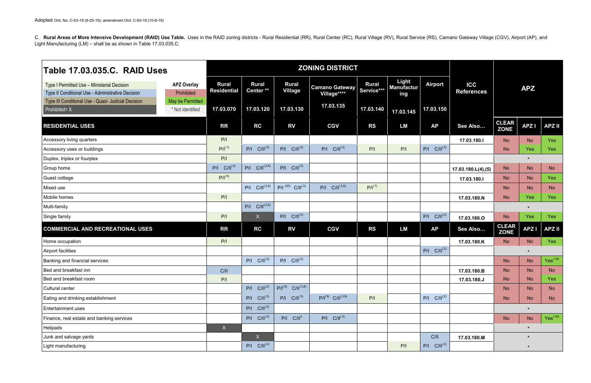C. Rural Areas of More Intensive Development (RAID) Use Table. Uses in the RAID zoning districts - Rural Residential (RR), Rural Center (RC), Rural Village (RV), Rural Service (RS), Camano Gateway Village (CGV), Airport (A Light Manufacturing (LM) – shall be as shown in Table 17.03.035.C.

| Table 17.03.035.C. RAID Uses                                                                     |                                      |                             |                                      |                                   | <b>ZONING DISTRICT</b>               |                            |                                   |                     |                                 |                             |             |                     |
|--------------------------------------------------------------------------------------------------|--------------------------------------|-----------------------------|--------------------------------------|-----------------------------------|--------------------------------------|----------------------------|-----------------------------------|---------------------|---------------------------------|-----------------------------|-------------|---------------------|
| Type I Permitted Use - Ministerial Decision<br>Type II Conditional Use - Administrative Decision | <b>APZ Overlay</b><br>Prohibited     | <b>Rural</b><br>Residential | <b>Rural</b><br>Center <sup>**</sup> | <b>Rural</b><br><b>Village</b>    | <b>Camano Gateway</b><br>Village**** | <b>Rural</b><br>Service*** | Light<br><b>Manufactur</b><br>ing | <b>Airport</b>      | <b>ICC</b><br><b>References</b> |                             | <b>APZ</b>  |                     |
| Type III Conditional Use - Quasi- Judicial Decision<br>Prohibited= X                             | May be Permitted<br>* Not identified | 17.03.070                   | 17.03.120                            | 17.03.130                         | 17.03.135                            | 17.03.140                  | 17.03.145                         | 17.03.150           |                                 |                             |             |                     |
| <b>RESIDENTIAL USES</b>                                                                          |                                      | <b>RR</b>                   | <b>RC</b>                            | <b>RV</b>                         | <b>CGV</b>                           | <b>RS</b>                  | <b>LM</b>                         | <b>AP</b>           | See Also                        | <b>CLEAR</b><br><b>ZONE</b> | <b>APZI</b> | <b>APZ II</b>       |
| Accessory living quarters                                                                        |                                      | P/I                         |                                      |                                   |                                      |                            |                                   |                     | 17.03.180.I                     | <b>No</b>                   | <b>No</b>   | Yes                 |
| Accessory uses or buildings                                                                      |                                      | $P/I^{(1)}$                 | $P/I$ $C/II^{(2)}$                   | $P/I$ $C/II^{(3)}$                | $P/I$ $C/II^{(3)}$                   | P/I                        | P/I                               | $P/I$ $C/II^{(3)}$  |                                 | <b>No</b>                   | <b>Yes</b>  | Yes                 |
| Duplex, triplex or fourplex                                                                      |                                      | P/I                         |                                      |                                   |                                      |                            |                                   |                     |                                 |                             | $\star$     |                     |
| Group home                                                                                       |                                      | $P/I$ $C/II^{(4)}$          | $P/I$ $C/II^{(2,6)}$                 | $P/I$ $C/II^{(3)}$                |                                      |                            |                                   |                     | 17.03.180.L(4),(5)              | <b>No</b>                   | <b>No</b>   | <b>No</b>           |
| Guest cottage                                                                                    |                                      | $P/I^{(5)}$                 |                                      |                                   |                                      |                            |                                   |                     | 17.03.180.I                     | <b>No</b>                   | <b>No</b>   | Yes                 |
| Mixed use                                                                                        |                                      |                             | $P/I$ $C/II^{(2,6)}$                 | $P/I^{(20)}$<br>$C/II^{(3)}$      | $P/I$ $C/II^{(3,6)}$                 | $P/I^{(7)}$                |                                   |                     |                                 | <b>No</b>                   | <b>No</b>   | <b>No</b>           |
| Mobile homes                                                                                     |                                      | P/I                         |                                      |                                   |                                      |                            |                                   |                     | 17.03.180.N                     | <b>No</b>                   | <b>Yes</b>  | <b>Yes</b>          |
| Multi-family                                                                                     |                                      |                             | $P/I$ $C/II^{(2,6)}$                 |                                   |                                      |                            |                                   |                     |                                 |                             | *           |                     |
| Single family                                                                                    |                                      | P/I                         | X                                    | $P/I$ $C/II^{(3)}$                |                                      |                            |                                   | $C/II^{(2)}$<br>P/I | 17.03.180.O                     | <b>No</b>                   | <b>Yes</b>  | Yes                 |
| <b>COMMERCIAL AND RECREATIONAL USES</b>                                                          |                                      | <b>RR</b>                   | <b>RC</b>                            | <b>RV</b>                         | <b>CGV</b>                           | <b>RS</b>                  | <b>LM</b>                         | <b>AP</b>           | See Also                        | <b>CLEAR</b><br><b>ZONE</b> | <b>APZI</b> | <b>APZII</b>        |
| Home occupation                                                                                  |                                      | P/I                         |                                      |                                   |                                      |                            |                                   |                     | 17.03.180.K                     | <b>No</b>                   | <b>No</b>   | Yes                 |
| Airport facilities                                                                               |                                      |                             |                                      |                                   |                                      |                            |                                   | $P/I$ $C/II^{(2)}$  |                                 |                             | *           |                     |
| <b>Banking and financial services</b>                                                            |                                      |                             | $P/I$ $C/II^{(2)}$                   | $P/I$ $C/II^{(3)}$                |                                      |                            |                                   |                     |                                 | <b>No</b>                   | <b>No</b>   | Yes <sup>(18)</sup> |
| Bed and breakfast inn                                                                            |                                      | C/II                        |                                      |                                   |                                      |                            |                                   |                     | 17.03.180.B                     | <b>No</b>                   | <b>No</b>   | <b>No</b>           |
| Bed and breakfast room                                                                           |                                      | P/I                         |                                      |                                   |                                      |                            |                                   |                     | 17.03.180.J                     | <b>No</b>                   | <b>No</b>   | Yes                 |
| Cultural center                                                                                  |                                      |                             | $P/I$ $C/II^{(2)}$                   | $P/I^{(8)}$ C/II <sup>(3,8)</sup> |                                      |                            |                                   |                     |                                 | <b>No</b>                   | <b>No</b>   | <b>No</b>           |
| Eating and drinking establishment                                                                |                                      |                             | $P/I$ $C/II^{(2)}$                   | $P/I$ $C/II^{(3)}$                | $P/I^{(9)}$ C/II <sup>(3,9)</sup>    | P/I                        |                                   | $P/I$ $C/II^{(2)}$  |                                 | <b>No</b>                   | <b>No</b>   | <b>No</b>           |
| <b>Entertainment uses</b>                                                                        |                                      |                             | $P/I$ $C/II^{(2)}$                   |                                   |                                      |                            |                                   |                     |                                 |                             | $\ast$      |                     |
| Finance, real estate and banking services                                                        |                                      |                             | $P/I$ $C/II^{(2)}$                   | $P/I$ $C/II3$                     | $P/I$ $C/II^{(3)}$                   |                            |                                   |                     |                                 | <b>No</b>                   | <b>No</b>   | Yes <sup>(18)</sup> |
| Helipads                                                                                         |                                      | $\mathsf{X}^{\top}$         |                                      |                                   |                                      |                            |                                   |                     |                                 |                             | $\star$     |                     |
| Junk and salvage yards                                                                           |                                      |                             | $\mathsf{X}$                         |                                   |                                      |                            |                                   | C/II                | 17.03.180.M                     |                             | $\star$     |                     |
| Light manufacturing                                                                              |                                      |                             | $P/I$ $C/II^{(2)}$                   |                                   |                                      |                            | P/I                               | $P/I$ $C/II^{(2)}$  |                                 |                             | $\star$     |                     |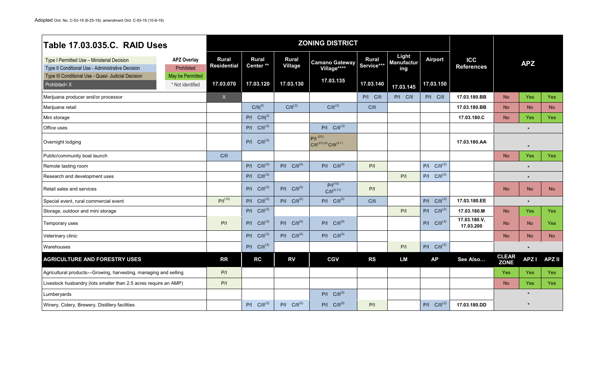| Table 17.03.035.C. RAID Uses                                                                     |                                      |                                    |                                      |                                | <b>ZONING DISTRICT</b>                       |                            |                                   |                     |                                 |                             |             |               |
|--------------------------------------------------------------------------------------------------|--------------------------------------|------------------------------------|--------------------------------------|--------------------------------|----------------------------------------------|----------------------------|-----------------------------------|---------------------|---------------------------------|-----------------------------|-------------|---------------|
| Type I Permitted Use - Ministerial Decision<br>Type II Conditional Use - Administrative Decision | <b>APZ Overlay</b><br>Prohibited     | <b>Rural</b><br><b>Residential</b> | <b>Rural</b><br>Center <sup>**</sup> | <b>Rural</b><br><b>Village</b> | <b>Camano Gateway</b><br>Village****         | <b>Rural</b><br>Service*** | Light<br><b>Manufactur</b><br>ing | <b>Airport</b>      | <b>ICC</b><br><b>References</b> |                             | <b>APZ</b>  |               |
| Type III Conditional Use - Quasi- Judicial Decision<br>Prohibited= X                             | May be Permitted<br>* Not identified | 17.03.070                          | 17.03.120                            | 17.03.130                      | 17.03.135                                    | 17.03.140                  |                                   | 17.03.150           |                                 |                             |             |               |
| Marijuana producer and/or processor                                                              |                                      | $\mathsf X$                        |                                      |                                |                                              | P/I C/II                   | 17.03.145<br>P/I C/II             | P/I C/II            | 17.03.180.BB                    | <b>No</b>                   | Yes         | Yes           |
| Marijuana retail                                                                                 |                                      |                                    | $C/II(^{2)}$                         | $C/II^{(3)}$                   | $C/II^{(3)}$                                 | C/II                       |                                   |                     | 17.03.180.BB                    | <b>No</b>                   | <b>No</b>   | <b>No</b>     |
| Mini storage                                                                                     |                                      |                                    | $P/I$ $C/II(^{2)}$                   |                                |                                              |                            |                                   |                     | 17.03.180.C                     | <b>No</b>                   | <b>Yes</b>  | <b>Yes</b>    |
| Office uses                                                                                      |                                      |                                    | $P/I$ $C/II^{(2)}$                   |                                | $P/I$ $C/II^{(3)}$                           |                            |                                   |                     |                                 |                             |             |               |
| Overnight lodging                                                                                |                                      |                                    | $P/I$ $C/II^{(2)}$                   |                                | $P/ ^{(21)}$<br>$C/  ^{(21)(3)}C/   ^{(21)}$ |                            |                                   |                     | 17.03.180.AA                    |                             |             |               |
| Public/community boat launch                                                                     |                                      | C/II                               |                                      |                                |                                              |                            |                                   |                     |                                 | <b>No</b>                   | <b>Yes</b>  | Yes           |
| Remote tasting room                                                                              |                                      |                                    | $P/I$ $C/II^{(2)}$                   | $P/I$ $C/II^{(3)}$             | $P/I$ $C/II^{(3)}$                           | P/I                        |                                   | $P/I$ $C/II^{(2)}$  |                                 |                             |             |               |
| Research and development uses                                                                    |                                      |                                    | $P/I$ $C/II^{(2)}$                   |                                |                                              |                            | P/I                               | $P/I$ $C/II^{(2)}$  |                                 |                             | $\star$     |               |
| Retail sales and services                                                                        |                                      |                                    | $P/I$ $C/II^{(2)}$                   | $P/I$ $C/II^{(3)}$             | $P/I^{(10)}$<br>$C/  ^{(3,11)}$              | P/I                        |                                   |                     |                                 | <b>No</b>                   | <b>No</b>   | <b>No</b>     |
| Special event, rural commercial event                                                            |                                      | $P/I^{(12)}$                       | $P/I$ $C/II^{(2)}$                   | $P/I$ $C/II^{(3)}$             | $P/I$ $C/II^{(3)}$                           | C/II                       |                                   | $C/II^{(2)}$<br>P/I | 17.03.180.EE                    |                             | $\star$     |               |
| Storage, outdoor and mini storage                                                                |                                      |                                    | $P/I$ $C/II^{(2)}$                   |                                |                                              |                            | P/I                               | $P/I$ $C/II^{(2)}$  | 17.03.180.M                     | <b>No</b>                   | <b>Yes</b>  | Yes           |
| Temporary uses                                                                                   |                                      | P/I                                | $P/I$ $C/II^{(2)}$                   | $P/I$ $C/II^{(3)}$             | $P/I$ $C/II^{(3)}$                           |                            |                                   | $P/I$ $C/II^{(2)}$  | 17.03.180.V,<br>17.03.200       | <b>No</b>                   | <b>No</b>   | <b>Yes</b>    |
| Veterinary clinic                                                                                |                                      |                                    | $P/I$ $C/II^{(2)}$                   | $P/I$ $C/II^{(3)}$             | $P/I$ $C/II^{(3)}$                           |                            |                                   |                     |                                 | <b>No</b>                   | <b>No</b>   | <b>No</b>     |
| Warehouses                                                                                       |                                      |                                    | $P/I$ $C/II^{(2)}$                   |                                |                                              |                            | P/I                               | $C/II^{(2)}$<br>P/I |                                 |                             |             |               |
| <b>AGRICULTURE AND FORESTRY USES</b>                                                             |                                      | <b>RR</b>                          | <b>RC</b>                            | <b>RV</b>                      | <b>CGV</b>                                   | <b>RS</b>                  | <b>LM</b>                         | <b>AP</b>           | See Also                        | <b>CLEAR</b><br><b>ZONE</b> | <b>APZI</b> | <b>APZ II</b> |
| Agricultural products-Growing, harvesting, managing and selling                                  |                                      | P/I                                |                                      |                                |                                              |                            |                                   |                     |                                 | Yes                         | Yes         | Yes           |
| Livestock husbandry (lots smaller than 2.5 acres require an AMP)                                 |                                      | P/I                                |                                      |                                |                                              |                            |                                   |                     |                                 | <b>No</b>                   | Yes         | Yes           |
| Lumberyards                                                                                      |                                      |                                    |                                      |                                | $P/I$ $C/II^{(3)}$                           |                            |                                   |                     |                                 |                             | $\star$     |               |
| Winery, Cidery, Brewery, Distillery facilities                                                   |                                      |                                    | $P/I$ $C/II^{(2)}$                   | $P/I$ $C/II^{(3)}$             | $P/I$ $C/II^{(3)}$                           | P/I                        |                                   | $P/I$ $C/II^{(2)}$  | 17.03.180.DD                    |                             | $\star$     |               |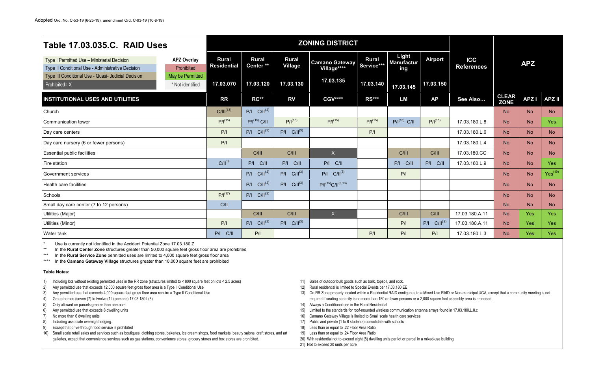| <b>Table 17.03.035.C. RAID Uses</b>                                                              |                                      |                                    |                                      |                         | <b>ZONING DISTRICT</b>               |                            |                                   |                    |                                 |                             |             |               |
|--------------------------------------------------------------------------------------------------|--------------------------------------|------------------------------------|--------------------------------------|-------------------------|--------------------------------------|----------------------------|-----------------------------------|--------------------|---------------------------------|-----------------------------|-------------|---------------|
| Type I Permitted Use - Ministerial Decision<br>Type II Conditional Use - Administrative Decision | <b>APZ Overlay</b><br>Prohibited     | <b>Rural</b><br><b>Residential</b> | <b>Rural</b><br>Center <sup>**</sup> | <b>Rural</b><br>Village | <b>Camano Gateway</b><br>Village**** | <b>Rural</b><br>Service*** | Light<br><b>Manufactur</b><br>ing | <b>Airport</b>     | <b>ICC</b><br><b>References</b> |                             | <b>APZ</b>  |               |
| Type III Conditional Use - Quasi- Judicial Decision<br>$\blacksquare$ Prohibited= X              | May be Permitted<br>* Not identified | 17.03.070                          | 17.03.120                            | 17.03.130               | 17.03.135                            | 17.03.140                  | 17.03.145                         | 17.03.150          |                                 |                             |             |               |
| <b>INSTITUTIONAL USES AND UTILITIES</b>                                                          |                                      | <b>RR</b>                          | <b>RC**</b>                          | <b>RV</b>               | <b>CGV****</b>                       | <b>RS***</b>               | <b>LM</b>                         | AP                 | See Also                        | <b>CLEAR</b><br><b>ZONE</b> | <b>APZI</b> | <b>APZ II</b> |
| Church                                                                                           |                                      | $C/III^{(13)}$                     | $P/I$ $C/II^{(2)}$                   |                         |                                      |                            |                                   |                    |                                 | <b>No</b>                   | <b>No</b>   | <b>No</b>     |
| Communication tower                                                                              |                                      | $P/I^{(15)}$                       | P/I <sup>(15)</sup> C/II             | $P/I^{(15)}$            | $P/I^{(15)}$                         | $P/I^{(15)}$               | $P/I(15)$ C/II                    | $P/I^{(15)}$       | 17.03.180.L.8                   | <b>No</b>                   | <b>No</b>   | Yes           |
| Day care centers                                                                                 |                                      | P/I                                | $P/I$ $C/II^{(2)}$                   | $P/I$ $C/II^{(3)}$      |                                      | P/I                        |                                   |                    | 17.03.180.L.6                   | <b>No</b>                   | <b>No</b>   | <b>No</b>     |
| Day care nursery (6 or fewer persons)                                                            |                                      | P/I                                |                                      |                         |                                      |                            |                                   |                    | 17.03.180.L.4                   | No                          | <b>No</b>   | <b>No</b>     |
| <b>Essential public facilities</b>                                                               |                                      |                                    | C/III                                | C/III                   | X                                    |                            | C/III                             | C/III              | 17.03.180.CC                    | <b>No</b>                   | <b>No</b>   | <b>No</b>     |
| Fire station                                                                                     |                                      | $C/II^{14}$                        | P/I C/II                             | $P/I$ $C/II$            | P/I C/II                             |                            | P/I C/II                          | P/I C/II           | 17.03.180.L.9                   | <b>No</b>                   | <b>No</b>   | Yes           |
| <b>Government services</b>                                                                       |                                      |                                    | $P/I$ $C/II^{(2)}$                   | $P/I$ $C/II^{(3)}$      | $P/I$ $C/II^{(3)}$                   |                            | P/I                               |                    |                                 | <b>No</b>                   | <b>No</b>   | $Yes^{(19)}$  |
| Health care facilities                                                                           |                                      |                                    | $P/I$ $C/II^{(2)}$                   | $P/I$ $C/II^{(3)}$      | $P/I^{(15)}C/II^{(3,16)}$            |                            |                                   |                    |                                 | <b>No</b>                   | <b>No</b>   | <b>No</b>     |
| Schools                                                                                          |                                      | $P/I^{(17)}$                       | $P/I$ $C/II^{(2)}$                   |                         |                                      |                            |                                   |                    |                                 | <b>No</b>                   | <b>No</b>   | <b>No</b>     |
| Small day care center (7 to 12 persons)                                                          |                                      | C/II                               |                                      |                         |                                      |                            |                                   |                    |                                 | <b>No</b>                   | <b>No</b>   | <b>No</b>     |
| Utilities (Major)                                                                                |                                      |                                    | C/III                                | C/III                   | X                                    |                            | C/III                             | C/III              | 17.03.180.A.11                  | <b>No</b>                   | Yes         | Yes           |
| Utilities (Minor)                                                                                |                                      | P/I                                | $P/I$ $C/II^{(2)}$                   | $P/I$ $C/II^{(3)}$      |                                      |                            | P/I                               | $P/I$ $C/II^{(2)}$ | 17.03.180.A.11                  | <b>No</b>                   | <b>Yes</b>  | Yes           |
| <b>Water tank</b>                                                                                |                                      | $P/I$ $C/II$                       | P/I                                  |                         |                                      | P/I                        | P/I                               | P/I                | 17.03.180.L.3                   | <b>No</b>                   | <b>Yes</b>  | Yes           |

\* Use is currently not identified in the Accident Potential Zone 17.03.180.Z<br>\*\* In the **Bural Center Zone** structures greater than 50,000 square feet grow

\*\* In the **Rural Center Zone** structures greater than 50,000 square feet gross floor area are prohibited

In the Rural Service Zone permitted uses are limited to 4,000 square feet gross floor area

\*\*\*\* In the **Camano Gateway Village** structures greater than 10,000 square feet are prohibited

## **Table Notes:**

1) Including lots without existing permitted uses in the RR zone (structures limited to < 800 square feet on lots < 2.5 acres)

2) Any permitted use that exceeds 12,000 square feet gross floor area is a Type II Conditional Use

3) Any permitted use that exceeds 4,000 square feet gross floor area require a Type II Conditional Use

4) Group homes (seven (7) to twelve (12) persons) 17.03.180.L(5)

5) Only allowed on parcels greater than one acre.

6) Any permitted use that exceeds 8 dwelling units

7) No more than 6 dwelling units

8) Including associate overnight lodging.

9) Except that drive-through food service is prohibited

10) Small scale retail sales and services such as boutiques, clothing stores, bakeries, ice cream shops, food markets, beauty salons, craft stores, and art galleries, except that convenience services such as gas stations, convenience stores, grocery stores and box stores are prohibited.

11) Sales of outdoor bulk goods such as bark, topsoil, and rock.

12) Rural residential is limited to Special Events per 17.03.180.EE

13) On RR Zone property located within a Residential RAID contiguous to a Mixed Use RAID or Non-municipal UGA, except that a community meeting is not required if seating capacity is no more than 150 or fewer persons or a 2,000 square foot assembly area is proposed.

- 14) Always a Conditional use in the Rural Residential
- 15) Limited to the standards for roof-mounted wireless communication antenna arrays found in 17.03.180.L.8.c
- 16) Camano Gateway Village is limited to Small scale health care services
- 17) Public and private (1 to 6 students) consolidate with schools
- 18) Less than or equal to .22 Floor Area Ratio
- 19) Less than or equal to .24 Floor Area Ratio
- 20) With residential not to exceed eight (8) dwelling units per lot or parcel in a mixed-use building
- 21) Not to exceed 20 units per acre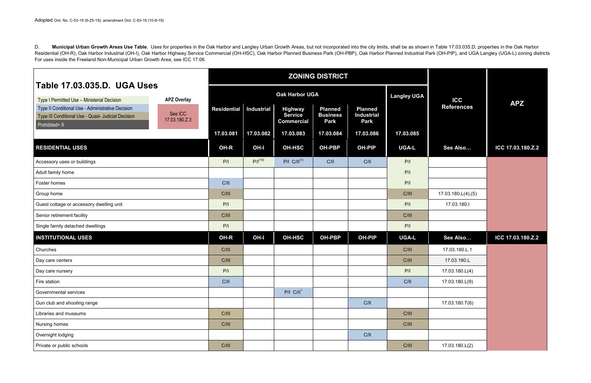D. Municipal Urban Growth Areas Use Table. Uses for properties in the Oak Harbor and Langley Urban Growth Areas, but not incorporated into the city limits, shall be as shown in Table 17.03.035.D; properties in the Oak Harb Residential (OH-R), Oak Harbor Industrial (OH-I), Oak Harbor Highway Service Commercial (OH-HSC), Oak Harbor Planned Business Park (OH-PBP), Oak Harbor Planned Industrial Park (OH-PIP), and UGA Langley (UGA-L) zoning distr For uses inside the Freeland Non-Municipal Urban Growth Area, see ICC 17.06.

|                                                                                                                                                         |                                                |                    | <b>ZONING DISTRICT</b> |                                  |                                   |                                     |                    |                                 |                   |
|---------------------------------------------------------------------------------------------------------------------------------------------------------|------------------------------------------------|--------------------|------------------------|----------------------------------|-----------------------------------|-------------------------------------|--------------------|---------------------------------|-------------------|
| Table 17.03.035.D. UGA Uses                                                                                                                             |                                                |                    |                        | <b>Oak Harbor UGA</b>            |                                   |                                     | <b>Langley UGA</b> |                                 |                   |
| Type I Permitted Use - Ministerial Decision<br>Type II Conditional Use - Administrative Decision<br>Type III Conditional Use - Quasi- Judicial Decision | <b>APZ Overlay</b><br>See ICC<br>17.03.180.Z.3 | <b>Residential</b> | <b>Industrial</b>      | <b>Highway</b><br><b>Service</b> | <b>Planned</b><br><b>Business</b> | <b>Planned</b><br><b>Industrial</b> |                    | <b>ICC</b><br><b>References</b> | <b>APZ</b>        |
| Prohibited= X                                                                                                                                           |                                                | 17.03.081          | 17.03.082              | <b>Commercial</b><br>17.03.083   | Park<br>17.03.084                 | <b>Park</b><br>17.03.086            | 17.03.085          |                                 |                   |
| <b>RESIDENTIAL USES</b>                                                                                                                                 |                                                | OH-R               | OH-I                   | <b>OH-HSC</b>                    | <b>OH-PBP</b>                     | <b>OH-PIP</b>                       | <b>UGA-L</b>       | See Also                        | ICC 17.03.180.Z.2 |
| Accessory uses or buildings                                                                                                                             |                                                | P/I                | $P/I^{(16)}$           | $P/I$ $C/II^{(1)}$               | C/II                              | C/II                                | P/I                |                                 |                   |
| Adult family home                                                                                                                                       |                                                |                    |                        |                                  |                                   |                                     | P/I                |                                 |                   |
| Foster homes                                                                                                                                            |                                                | C/II               |                        |                                  |                                   |                                     | P/I                |                                 |                   |
| Group home                                                                                                                                              |                                                | C/III              |                        |                                  |                                   |                                     | C/III              | 17.03.180.L(4),(5)              |                   |
| Guest cottage or accessory dwelling unit                                                                                                                |                                                | P/I                |                        |                                  |                                   |                                     | P/I                | 17.03.180.1                     |                   |
| Senior retirement facility                                                                                                                              |                                                | C/III              |                        |                                  |                                   |                                     | C/III              |                                 |                   |
| Single family detached dwellings                                                                                                                        |                                                | P/I                |                        |                                  |                                   |                                     | P/I                |                                 |                   |
| <b>INSTITUTIONAL USES</b>                                                                                                                               |                                                | OH-R               | OH-I                   | <b>OH-HSC</b>                    | <b>OH-PBP</b>                     | <b>OH-PIP</b>                       | <b>UGA-L</b>       | See Also                        | ICC 17.03.180.Z.2 |
| Churches                                                                                                                                                |                                                | C/III              |                        |                                  |                                   |                                     | C/III              | 17.03.180.L.1                   |                   |
| Day care centers                                                                                                                                        |                                                | C/III              |                        |                                  |                                   |                                     | C/III              | 17.03.180.L                     |                   |
| Day care nursery                                                                                                                                        |                                                | P/I                |                        |                                  |                                   |                                     | P/I                | 17.03.180.L(4)                  |                   |
| Fire station                                                                                                                                            |                                                | C/II               |                        |                                  |                                   |                                     | C/II               | 17.03.180.L(9)                  |                   |
| Governmental services                                                                                                                                   |                                                |                    |                        | $P/I$ $C/II1$                    |                                   |                                     |                    |                                 |                   |
| Gun club and shooting range                                                                                                                             |                                                |                    |                        |                                  |                                   | C/II                                |                    | 17.03.180.T(6)                  |                   |
| Libraries and museums                                                                                                                                   |                                                | C/III              |                        |                                  |                                   |                                     | C/III              |                                 |                   |
| Nursing homes                                                                                                                                           |                                                | C/III              |                        |                                  |                                   |                                     | C/III              |                                 |                   |
| Overnight lodging                                                                                                                                       |                                                |                    |                        |                                  |                                   | C/II                                |                    |                                 |                   |
| Private or public schools                                                                                                                               |                                                | C/III              |                        |                                  |                                   |                                     | C/III              | 17.03.180.L(2)                  |                   |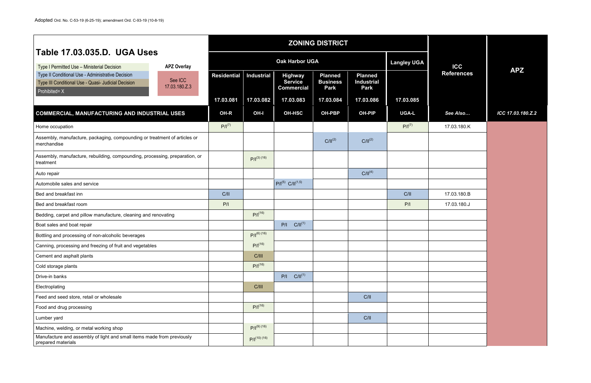|                                                                                                                           |                          |                    | <b>ZONING DISTRICT</b> |                                                       |                                                  |                                                    |                    |                   |                   |
|---------------------------------------------------------------------------------------------------------------------------|--------------------------|--------------------|------------------------|-------------------------------------------------------|--------------------------------------------------|----------------------------------------------------|--------------------|-------------------|-------------------|
| Table 17.03.035.D. UGA Uses<br>Type I Permitted Use - Ministerial Decision                                                | <b>APZ Overlay</b>       |                    |                        | <b>Oak Harbor UGA</b>                                 |                                                  |                                                    | <b>Langley UGA</b> | <b>ICC</b>        |                   |
| Type II Conditional Use - Administrative Decision<br>Type III Conditional Use - Quasi- Judicial Decision<br>Prohibited= X | See ICC<br>17.03.180.Z.3 | <b>Residential</b> | <b>Industrial</b>      | <b>Highway</b><br><b>Service</b><br><b>Commercial</b> | <b>Planned</b><br><b>Business</b><br><b>Park</b> | <b>Planned</b><br><b>Industrial</b><br><b>Park</b> |                    | <b>References</b> | <b>APZ</b>        |
|                                                                                                                           |                          | 17.03.081          | 17.03.082              | 17.03.083                                             | 17.03.084                                        | 17.03.086                                          | 17.03.085          |                   |                   |
| COMMERCIAL, MANUFACTURING AND INDUSTRIAL USES                                                                             |                          | OH-R               | OH-I                   | <b>OH-HSC</b>                                         | <b>OH-PBP</b>                                    | OH-PIP                                             | <b>UGA-L</b>       | See Also          | ICC 17.03.180.Z.2 |
| Home occupation                                                                                                           |                          | $P/I^{(7)}$        |                        |                                                       |                                                  |                                                    | $P/I^{(7)}$        | 17.03.180.K       |                   |
| Assembly, manufacture, packaging, compounding or treatment of articles or<br>merchandise                                  |                          |                    |                        |                                                       | $C/II^{(2)}$                                     | $C/II^{(2)}$                                       |                    |                   |                   |
| Assembly, manufacture, rebuilding, compounding, processing, preparation, or<br>treatment                                  |                          |                    | $P/I^{(3)(16)}$        |                                                       |                                                  |                                                    |                    |                   |                   |
| Auto repair                                                                                                               |                          |                    |                        |                                                       |                                                  | $C/II^{(4)}$                                       |                    |                   |                   |
| Automobile sales and service                                                                                              |                          |                    |                        | $P/I^{(5)}$ C/II <sup>(1,5)</sup>                     |                                                  |                                                    |                    |                   |                   |
| Bed and breakfast inn                                                                                                     |                          | C/II               |                        |                                                       |                                                  |                                                    | C/II               | 17.03.180.B       |                   |
| Bed and breakfast room                                                                                                    |                          | P/I                |                        |                                                       |                                                  |                                                    | P/I                | 17.03.180.J       |                   |
| Bedding, carpet and pillow manufacture, cleaning and renovating                                                           |                          |                    | $P/I^{(16)}$           |                                                       |                                                  |                                                    |                    |                   |                   |
| Boat sales and boat repair                                                                                                |                          |                    |                        | $C/II^{(1)}$<br>P/I                                   |                                                  |                                                    |                    |                   |                   |
| Bottling and processing of non-alcoholic beverages                                                                        |                          |                    | $P/I^{(6)(16)}$        |                                                       |                                                  |                                                    |                    |                   |                   |
| Canning, processing and freezing of fruit and vegetables                                                                  |                          |                    | $P/I^{(16)}$           |                                                       |                                                  |                                                    |                    |                   |                   |
| Cement and asphalt plants                                                                                                 |                          |                    | C/III                  |                                                       |                                                  |                                                    |                    |                   |                   |
| Cold storage plants                                                                                                       |                          |                    | $P/I^{(16)}$           |                                                       |                                                  |                                                    |                    |                   |                   |
| Drive-in banks                                                                                                            |                          |                    |                        | $C/II^{(1)}$<br>P/I                                   |                                                  |                                                    |                    |                   |                   |
| Electroplating                                                                                                            |                          |                    | C/III                  |                                                       |                                                  |                                                    |                    |                   |                   |
| Feed and seed store, retail or wholesale                                                                                  |                          |                    |                        |                                                       |                                                  | C/II                                               |                    |                   |                   |
| Food and drug processing                                                                                                  |                          |                    | $P/I^{(16)}$           |                                                       |                                                  |                                                    |                    |                   |                   |
| Lumber yard                                                                                                               |                          |                    |                        |                                                       |                                                  | C/II                                               |                    |                   |                   |
| Machine, welding, or metal working shop                                                                                   |                          |                    | $P/I^{(9)(16)}$        |                                                       |                                                  |                                                    |                    |                   |                   |
| Manufacture and assembly of light and small items made from previously<br>prepared materials                              |                          |                    | $P/I^{(10)(16)}$       |                                                       |                                                  |                                                    |                    |                   |                   |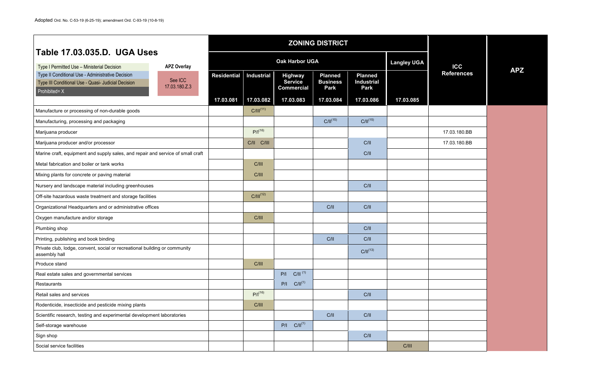|                                                                                                                           |                          |                    | <b>ZONING DISTRICT</b> |                                                       |                                                  |                                             |                    |                   |            |
|---------------------------------------------------------------------------------------------------------------------------|--------------------------|--------------------|------------------------|-------------------------------------------------------|--------------------------------------------------|---------------------------------------------|--------------------|-------------------|------------|
| Table 17.03.035.D. UGA Uses<br>Type I Permitted Use - Ministerial Decision                                                | <b>APZ Overlay</b>       |                    |                        | <b>Oak Harbor UGA</b>                                 |                                                  |                                             | <b>Langley UGA</b> | <b>ICC</b>        |            |
| Type II Conditional Use - Administrative Decision<br>Type III Conditional Use - Quasi- Judicial Decision<br>Prohibited= X | See ICC<br>17.03.180.Z.3 | <b>Residential</b> | <b>Industrial</b>      | <b>Highway</b><br><b>Service</b><br><b>Commercial</b> | <b>Planned</b><br><b>Business</b><br><b>Park</b> | <b>Planned</b><br><b>Industrial</b><br>Park |                    | <b>References</b> | <b>APZ</b> |
|                                                                                                                           |                          | 17.03.081          | 17.03.082              | 17.03.083                                             | 17.03.084                                        | 17.03.086                                   | 17.03.085          |                   |            |
| Manufacture or processing of non-durable goods                                                                            |                          |                    | $C/III^{(11)}$         |                                                       |                                                  |                                             |                    |                   |            |
| Manufacturing, processing and packaging                                                                                   |                          |                    |                        |                                                       | $C/II^{(15)}$                                    | $C/II^{(15)}$                               |                    |                   |            |
| Marijuana producer                                                                                                        |                          |                    | $P/I^{(16)}$           |                                                       |                                                  |                                             |                    | 17.03.180.BB      |            |
| Marijuana producer and/or processor                                                                                       |                          |                    | C/II C/III             |                                                       |                                                  | C/II                                        |                    | 17.03.180.BB      |            |
| Marine craft, equipment and supply sales, and repair and service of small craft                                           |                          |                    |                        |                                                       |                                                  | C/II                                        |                    |                   |            |
| Metal fabrication and boiler or tank works                                                                                |                          |                    | C/III                  |                                                       |                                                  |                                             |                    |                   |            |
| Mixing plants for concrete or paving material                                                                             |                          |                    | C/III                  |                                                       |                                                  |                                             |                    |                   |            |
| Nursery and landscape material including greenhouses                                                                      |                          |                    |                        |                                                       |                                                  | C/II                                        |                    |                   |            |
| Off-site hazardous waste treatment and storage facilities                                                                 |                          |                    | $C/III^{(12)}$         |                                                       |                                                  |                                             |                    |                   |            |
| Organizational Headquarters and or administrative offices                                                                 |                          |                    |                        |                                                       | C/II                                             | C/II                                        |                    |                   |            |
| Oxygen manufacture and/or storage                                                                                         |                          |                    | C/III                  |                                                       |                                                  |                                             |                    |                   |            |
| Plumbing shop                                                                                                             |                          |                    |                        |                                                       |                                                  | C/II                                        |                    |                   |            |
| Printing, publishing and book binding                                                                                     |                          |                    |                        |                                                       | C/II                                             | C/II                                        |                    |                   |            |
| Private club, lodge, convent, social or recreational building or community<br>assembly hall                               |                          |                    |                        |                                                       |                                                  | $C/II^{(13)}$                               |                    |                   |            |
| Produce stand                                                                                                             |                          |                    | C/III                  |                                                       |                                                  |                                             |                    |                   |            |
| Real estate sales and governmental services                                                                               |                          |                    |                        | $P/I$ $C/II$ <sup>(1)</sup>                           |                                                  |                                             |                    |                   |            |
| Restaurants                                                                                                               |                          |                    |                        | $P/I$ $C/II^{(1)}$                                    |                                                  |                                             |                    |                   |            |
| Retail sales and services                                                                                                 |                          |                    | $P/I^{(16)}$           |                                                       |                                                  | C/II                                        |                    |                   |            |
| Rodenticide, insecticide and pesticide mixing plants                                                                      |                          |                    | C/III                  |                                                       |                                                  |                                             |                    |                   |            |
| Scientific research, testing and experimental development laboratories                                                    |                          |                    |                        |                                                       | C/II                                             | C/II                                        |                    |                   |            |
| Self-storage warehouse                                                                                                    |                          |                    |                        | $P/I$ $C/II^{(1)}$                                    |                                                  |                                             |                    |                   |            |
| Sign shop                                                                                                                 |                          |                    |                        |                                                       |                                                  | C/II                                        |                    |                   |            |
| Social service facilities                                                                                                 |                          |                    |                        |                                                       |                                                  |                                             | C/III              |                   |            |